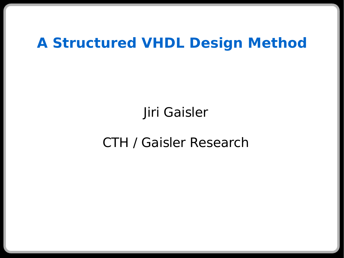### **A Structured VHDL Design Method**

Jiri Gaisler

CTH / Gaisler Research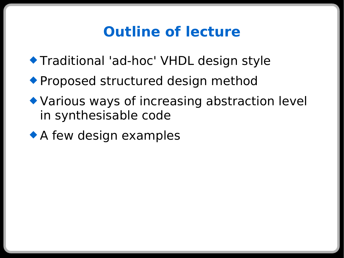# **Outline of lecture**

- Traditional 'ad-hoc' VHDL design style
- ◆ Proposed structured design method
- Various ways of increasing abstraction level in synthesisable code
- ◆ A few design examples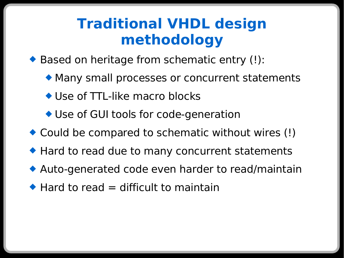### **Traditional VHDL design methodology**

◆ Based on heritage from schematic entry (!):

- Many small processes or concurrent statements
- ◆ Use of TTL-like macro blocks
- ◆ Use of GUI tools for code-generation
- ◆ Could be compared to schematic without wires (!)
- ◆ Hard to read due to many concurrent statements
- Auto-generated code even harder to read/maintain
- $\triangle$  Hard to read = difficult to maintain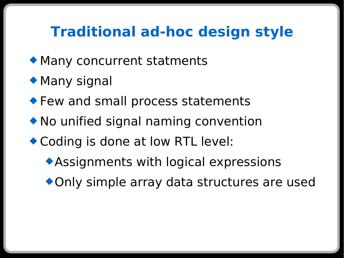# **Traditional ad-hoc design style**

- Many concurrent statments
- ◆ Many signal
- **Example 1 Few and small process statements**
- ◆ No unified signal naming convention
- ◆ Coding is done at low RTL level:
	- Assignments with logical expressions
	- Only simple array data structures are used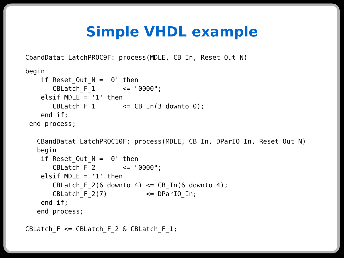# **Simple VHDL example**

CbandDatat LatchPROC9F: process(MDLE, CB In, Reset Out N)

```
begin
   if Reset Out N = '0' then
      CBLatch_F_1 <= "0000";
   elsif MDLE = '1' then
      CBLatch_F_1 \leq CB_In(3 down to 0);end if;
end process;
  CBandDatat LatchPROC10F: process(MDLE, CB In, DParIO In, Reset Out N)
  begin
   if Reset Out N = '0' then
      CBLatch_F_2 <= "0000";
   elsif MDLE = '1' then
      CBLatch F 2(6 downto 4) \leq CB In(6 downto 4);
      CBLatch F 2(7) \leq DParIO In;
   end if;
  end process;
```
CBLatch  $F \leq CBL$ atch  $F$  2 & CBLatch  $F$  1;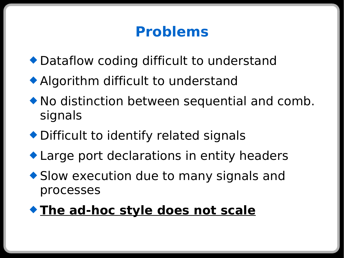# **Problems**

- Dataflow coding difficult to understand
- Algorithm difficult to understand
- No distinction between sequential and comb. signals
- ◆ Difficult to identify related signals
- ◆ Large port declarations in entity headers
- ◆ Slow execution due to many signals and processes

#### **The ad-hoc style does not scale**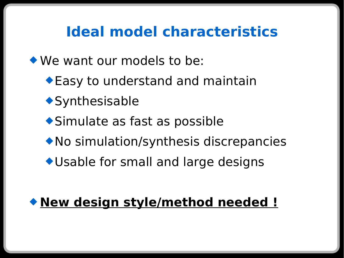# **Ideal model characteristics**

We want our models to be:

- ◆ Easy to understand and maintain
- ◆ Synthesisable
- Simulate as fast as possible
- No simulation/synthesis discrepancies
- Usable for small and large designs

### **New design style/method needed !**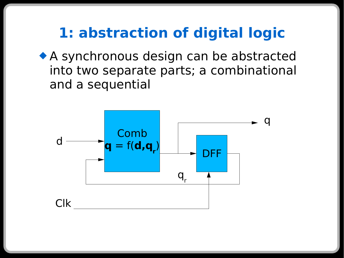### **1: abstraction of digital logic**

 A synchronous design can be abstracted into two separate parts; a combinational and a sequential

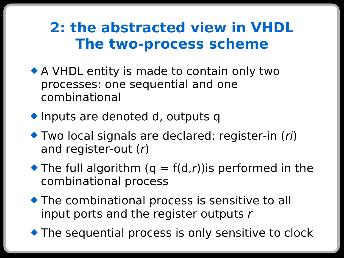### **2: the abstracted view in VHDL The two-process scheme**

- A VHDL entity is made to contain only two processes: one sequential and one combinational
- ◆ Inputs are denoted d, outputs q
- ◆ Two local signals are declared: register-in (ri) and register-out (r)
- $\blacktriangleright$  The full algorithm (q = f(d,r)) is performed in the combinational process
- The combinational process is sensitive to all input ports and the register outputs  $r$
- ◆ The sequential process is only sensitive to clock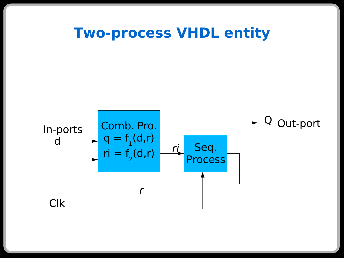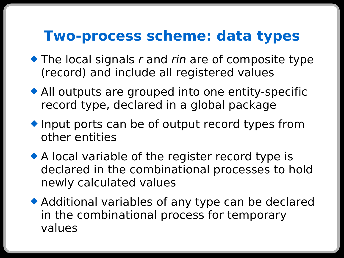### **Two-process scheme: data types**

- $\bullet$  The local signals r and rin are of composite type (record) and include all registered values
- All outputs are grouped into one entity-specific record type, declared in a global package
- ◆ Input ports can be of output record types from other entities
- ◆ A local variable of the register record type is declared in the combinational processes to hold newly calculated values
- Additional variables of any type can be declared in the combinational process for temporary values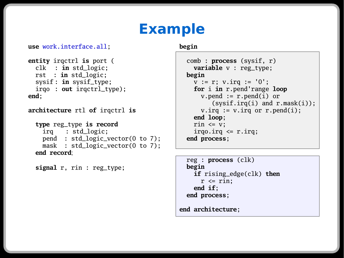### **Example**

```
use work.interface.all;
```

```
entity irqctrl is port (
  clk : in std_logic;
  rst : in std_logic;
  sysif : in sysif_type;
  irqo : out irqctrl_type);
end;
```

```
architecture rtl of irqctrl is
```

```
type reg_type is record
   irq : std_logic;
  pend : std_logic_vector(0 to 7);
 mask : std_logic_vector(0 to 7);
end record;
```
**signal** r, rin : reg\_type;

**begin**

```
comb : process (sysif, r)
  variable v : reg_type;
begin
  v := r; v.irg := '0';
  for i in r.pend'range loop
    v.pend := r.pend(i) or
        (sysif.irg(i) and r.master(i));v.\text{irq} := v.\text{irq or r.pend}(i);end loop;
  rin \leq v;
  irgo.irq \leq r.irq;
end process;
```

```
reg : process (clk)
begin
  if rising_edge(clk) then
    r \leq rin;
  end if;
end process;
```
**end architecture**;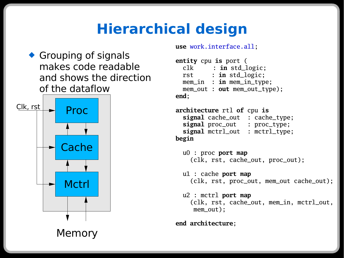# **Hierarchical design**

◆ Grouping of signals makes code readable and shows the direction of the dataflow



**use** work.interface.all;

```
entity cpu is port (
 clk : in std_logic;
 rst : in std_logic;
 mem_in : in mem_in_type;
 mem_out : out mem_out_type);
end;
```
**architecture** rtl **of** cpu **is signal** cache\_out : cache\_type; **signal** proc\_out : proc\_type; **signal** mctrl\_out : mctrl\_type; **begin**

u0 : proc **port map** (clk, rst, cache\_out, proc\_out);

u1 : cache **port map** (clk, rst, proc\_out, mem\_out cache\_out);

u2 : mctrl **port map** (clk, rst, cache\_out, mem\_in, mctrl\_out, mem\_out);

**end architecture**;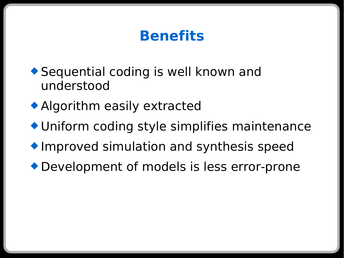# **Benefits**

- ◆ Sequential coding is well known and understood
- Algorithm easily extracted
- Uniform coding style simplifies maintenance
- **Improved simulation and synthesis speed**
- Development of models is less error-prone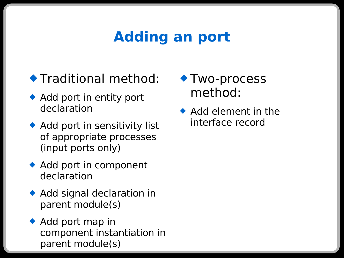# **Adding an port**

### Traditional method:

- ◆ Add port in entity port declaration
- ◆ Add port in sensitivity list of appropriate processes (input ports only)
- ◆ Add port in component declaration
- ◆ Add signal declaration in parent module(s)
- $\triangle$  Add port map in component instantiation in parent module(s)
- ◆ Two-process method:
- $\bullet$  Add element in the interface record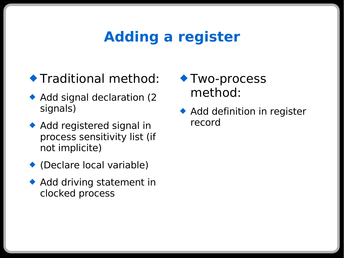### **Adding a register**

- **Traditional method:**
- ◆ Add signal declaration (2 signals)
- ◆ Add registered signal in process sensitivity list (if not implicite)
- (Declare local variable)
- ◆ Add driving statement in clocked process
- ◆ Two-process method:
- ◆ Add definition in register record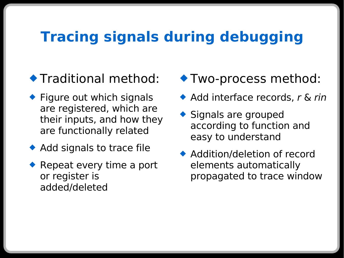### **Tracing signals during debugging**

#### **Traditional method:**

- $\bullet$  Figure out which signals are registered, which are their inputs, and how they are functionally related
- ◆ Add signals to trace file
- ◆ Repeat every time a port or register is added/deleted
- Two-process method:
- Add interface records, r & rin
- ◆ Signals are grouped according to function and easy to understand
- ◆ Addition/deletion of record elements automatically propagated to trace window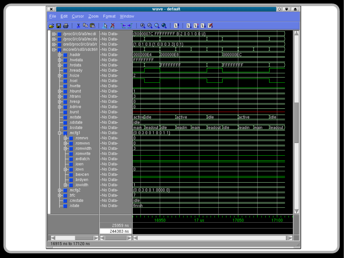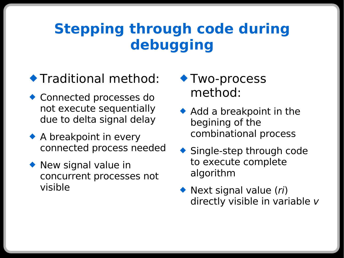# **Stepping through code during debugging**

#### **Traditional method:**

- Connected processes do not execute sequentially due to delta signal delay
- ◆ A breakpoint in every connected process needed
- ◆ New signal value in concurrent processes not visible
- ◆ Two-process method:
- $\triangle$  Add a breakpoint in the begining of the combinational process
- ◆ Single-step through code to execute complete algorithm
- ◆ Next signal value (ri) directly visible in variable v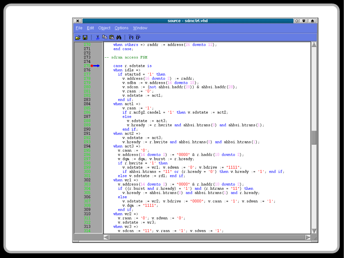| $\mathbf{x}$                              | source - sdmctrl.vhd                                                                                                                       | $\circ$ $\bullet$ $\bullet$ $\bullet$ |
|-------------------------------------------|--------------------------------------------------------------------------------------------------------------------------------------------|---------------------------------------|
|                                           | Eile Edit Object Options Window                                                                                                            |                                       |
| 6 U I                                     | $\lambda$ to the $M_1$ $\rightarrow$ $T_2$                                                                                                 |                                       |
| 270.                                      | when others => raddr := address(26 downto 12);                                                                                             |                                       |
| 271                                       | end case;                                                                                                                                  |                                       |
| 272                                       |                                                                                                                                            |                                       |
| 273                                       | -- sdram access FSM                                                                                                                        |                                       |
| 274                                       | case r.sdstate is                                                                                                                          |                                       |
| 275♦<br>276                               | when idle $\Rightarrow$                                                                                                                    |                                       |
| 277                                       | if startsd = $'1'$ then                                                                                                                    |                                       |
| 278                                       | $v.$ address (16 downto 2) := raddr;                                                                                                       |                                       |
| 279                                       | $v.$ sdba := $v.$ address (16 downto 15);                                                                                                  |                                       |
| 280                                       | $\mathbf{v}$ . sdcsn := (not ahbsi. haddr (28)) & ahbsi. haddr (28);                                                                       |                                       |
| $\begin{array}{l} 281 \\ 282 \end{array}$ | $v \cdot$ rasn := $101$ ;                                                                                                                  |                                       |
| 283                                       | $v. sdstate := act1;$<br>$end$ if;                                                                                                         |                                       |
| 284                                       | when $act1$ =>                                                                                                                             |                                       |
| 285                                       | $v \cdot r$ asn := $'1'$ ;                                                                                                                 |                                       |
| 286                                       | if $r$ . mcfq2. casdel = $'1'$ then $v$ . sdstate := act2;                                                                                 |                                       |
| 287                                       | else                                                                                                                                       |                                       |
| 288                                       | $v.\s{s}$ dstate := act $3$ ;                                                                                                              |                                       |
| 289                                       | v. hready := r. hwrite and ahbsi. htrans $(0)$ and ahbsi. htrans $(1)$ ;                                                                   |                                       |
| 290<br>291                                | end if:<br>when $act2 \Rightarrow$                                                                                                         |                                       |
| 292                                       | $v. sdstate := act3;$                                                                                                                      |                                       |
| 293                                       | v. hready := r. hwrite and ahbsi. htrans $(0)$ and ahbsi. htrans $(1)$ ;                                                                   |                                       |
| 294                                       | when $act3 \Rightarrow$                                                                                                                    |                                       |
| 295                                       | $v \cdot \text{casn} := '0';$                                                                                                              |                                       |
| $\frac{296}{297}$                         | v. address $(14$ downto 2) := "0000" & r. haddr $(10$ downto 2);                                                                           |                                       |
|                                           | $v.$ dqm := dqm; $v.$ burst := $r.$ hready;                                                                                                |                                       |
| 298<br>299                                | if $r$ hwrite = $'1'$ then                                                                                                                 |                                       |
| 300                                       | v. sdstate := $wr1$ ; v. sdwen := '0'; v. bdrive := "1111";<br>if ahbsi.htrans = "11" or $(r.$ hready = '0') then v.hready := '1'; end if; |                                       |
| 301                                       | else $v$ sdstate $v = r d1$ ; end if;                                                                                                      |                                       |
| 302                                       | when $wr1 =$                                                                                                                               |                                       |
| 303                                       | <b>v</b> . address $(14$ downto 2) := "0000" & r. haddr $(10$ downto 2);                                                                   |                                       |
| 304                                       | if $((r.burst and r.hready) = '1')$ and $(r.htrans = "11")$ then                                                                           |                                       |
| 305                                       | $v.$ hready := ahbsi.htrans $(0)$ and ahbsi.htrans $(1)$ and r.hready;                                                                     |                                       |
| 306                                       | else                                                                                                                                       |                                       |
| 307                                       | v.sdstate := $wr2$ ; v.bdrive := "0000"; v.casn := '1'; v.sdwen := '1';                                                                    |                                       |
| 308<br>309                                | $v.$ dqm $:=$ "1111";<br>end if;                                                                                                           |                                       |
| 310                                       | when $wr2 =$                                                                                                                               |                                       |
| 311                                       | $v \text{.}$ rash := $10^{\circ}$ ; v. sdwen := $10^{\circ}$ ;                                                                             |                                       |
| 312                                       | $v.\s{s}$ sdstate $v = w r 3$ ;                                                                                                            |                                       |
| 313                                       | when $wr3 \Rightarrow$                                                                                                                     |                                       |
| 314                                       | v.sdcsn := "11"; v.rasn := '1'; v.sdwen := '1';                                                                                            |                                       |
|                                           |                                                                                                                                            |                                       |
|                                           |                                                                                                                                            |                                       |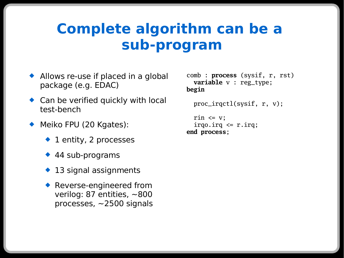### **Complete algorithm can be a sub-program**

- ◆ Allows re-use if placed in a global package (e.g. EDAC)
- ◆ Can be verified quickly with local test-bench
- ◆ Meiko FPU (20 Kgates):
	- $\bullet$  1 entity, 2 processes
	- ◆ 44 sub-programs
	- ◆ 13 signal assignments
	- ◆ Reverse-engineered from verilog: 87 entities, ~800 processes, ~2500 signals

```
comb : process (sysif, r, rst)
  variable v : reg_type;
begin
```

```
proc_irqctl(sysif, r, v);
```

```
rin \leq v;
  irgo.irg \leq r.irg;
end process;
```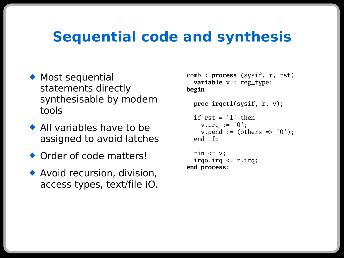### **Sequential code and synthesis**

- ◆ Most sequential statements directly synthesisable by modern tools
- ◆ All variables have to be assigned to avoid latches
- ◆ Order of code matters!
- ◆ Avoid recursion, division, access types, text/file IO.

```
comb : process (sysif, r, rst)
  variable v : reg_type;
begin
```

```
proc_irqctl(sysif, r, v);
if rst = '1' thenv.irq := '0':v.pend := (others => '0');
end if;
```

```
rin \leq v;
  irgo.irg \leq r.irg;
end process;
```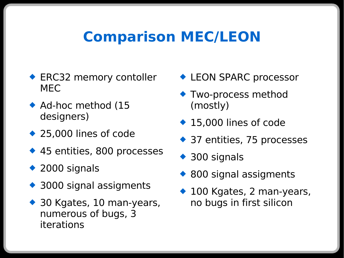### **Comparison MEC/LEON**

- ◆ ERC32 memory contoller MEC
- ◆ Ad-hoc method (15 designers)
- ◆ 25,000 lines of code
- ◆ 45 entities, 800 processes
- ◆ 2000 signals
- ◆ 3000 signal assigments
- ◆ 30 Kgates, 10 man-years, numerous of bugs, 3 iterations
- ◆ LEON SPARC processor
- **Two-process method** (mostly)
- ◆ 15,000 lines of code
- ◆ 37 entities, 75 processes
- ◆ 300 signals
- ◆ 800 signal assigments
- ◆ 100 Kgates, 2 man-years, no bugs in first silicon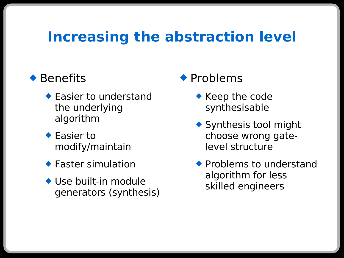### **Increasing the abstraction level**

#### ◆ Benefits

- ◆ Easier to understand the underlying algorithm
- ◆ Easier to modify/maintain
- ◆ Faster simulation
- ◆ Use built-in module generators (synthesis)

#### ◆ Problems

- ◆ Keep the code synthesisable
- ◆ Synthesis tool might choose wrong gatelevel structure
- $\blacklozenge$  Problems to understand algorithm for less skilled engineers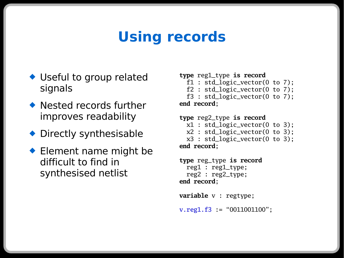# **Using records**

- ◆ Useful to group related signals
- ◆ Nested records further improves readability
- ◆ Directly synthesisable
- ◆ Element name might be difficult to find in synthesised netlist

```
type reg1_type is record
```

```
f1 : std_logic_vector(0 to 7);
```

```
f2 : std_logic_vector(0 to 7);
```

```
f3 : std_logic_vector(0 to 7);
end record;
```

```
type reg2_type is record
  x1 : std_logic_vector(0 to 3);
  x2 : std_logic_vector(0 to 3);
  x3 : std_logic_vector(0 to 3);
end record;
```

```
type reg_type is record
  reg1 : reg1_type;
  reg2 : reg2_type;
end record;
```

```
variable v : regtype;
v.\text{reg1.f3} = "0011001100";
```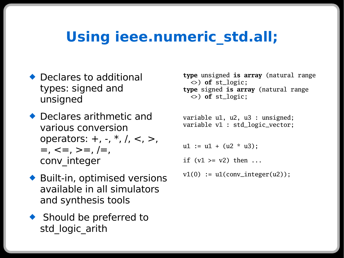## **Using ieee.numeric\_std.all;**

- ◆ Declares to additional types: signed and unsigned
- ◆ Declares arithmetic and various conversion operators:  $+$ ,  $-$ ,  $*$ ,  $/$ ,  $<$ ,  $>$ ,  $=$ ,  $\lt =$ ,  $> =$ ,  $\lt =$ , conv\_integer
- Built-in, optimised versions available in all simulators and synthesis tools
- ◆ Should be preferred to std logic arith

**type** unsigned **is array** (natural range <>) **of** st\_logic; **type** signed **is array** (natural range <>) **of** st\_logic;

variable u1, u2, u3 : unsigned; variable v1 : std\_logic\_vector;

 $u1 := u1 + (u2 * u3);$ 

if  $(v1 \ge v2)$  then ...

 $v1(0) := u1$ (conv\_integer(u2));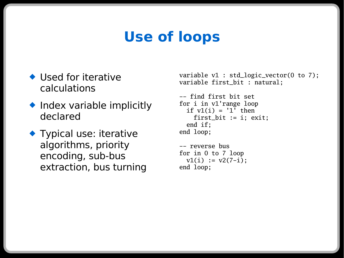# **Use of loops**

- ◆ Used for iterative calculations
- ◆ Index variable implicitly declared
- ◆ Typical use: iterative algorithms, priority encoding, sub-bus extraction, bus turning

```
variable v1 : std_logic_vector(0 to 7);
variable first_bit : natural;
```

```
-- find first bit set
for i in v1'range loop
  if v1(i) = '1' then
     first_bit := i; exit;
  end if;
end loop;
```

```
-- reverse bus
for in 0 to 7 loop
  v1(i) := v2(7-i);
end loop;
```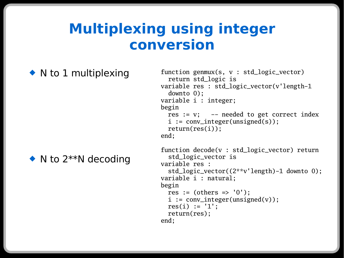### **Multiplexing using integer conversion**

#### $\bullet$  N to 1 multiplexing

 $\bullet$  N to 2\*\*N decoding

```
function genmux(s, v : std_logic_vector)
  return std_logic is
variable res : std_logic_vector(v'length-1
  downto 0);
variable i : integer;
begin
 res := v; -- needed to get correct index
  i := conv_integer(unsigned(s));
 return(res(i));
end;
function decode(v : std_logic_vector) return
```

```
std_logic_vector is
variable res :
```

```
std_logic_vector((2**v'length)-1 downto 0);
variable i : natural;
begin
 res := (others => '0'):
```

```
i := conv_integer(unsigned(v));
res(i) := '1':
```

```
return(res);
```

```
end;
```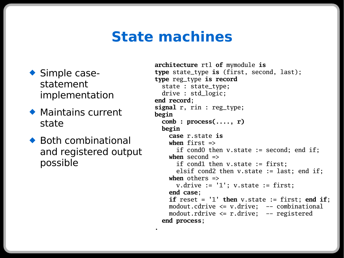### **State machines**

**.**

- ◆ Simple casestatement implementation
- Maintains current state
- $\bullet$  Both combinational and registered output possible

```
architecture rtl of mymodule is
type state_type is (first, second, last);
type reg_type is record
  state : state_type;
  drive : std_logic;
end record;
signal r, rin : reg_type;
begin
  comb : process(...., r)
  begin
    case r.state is
    when first =>
      if cond0 then v.state := second; end if;
    when second \Rightarrowif cond1 then v.state := first;
      elsif cond2 then v.state := last; end if;
    when others =>
      v.drive := '1'; v.state := first;end case;
    if reset = '1' then v.state := first; end if;
    modout.cdrive <= v.drive; -- combinational
    modout.rdrive <= r.drive; -- registered
  end process;
```